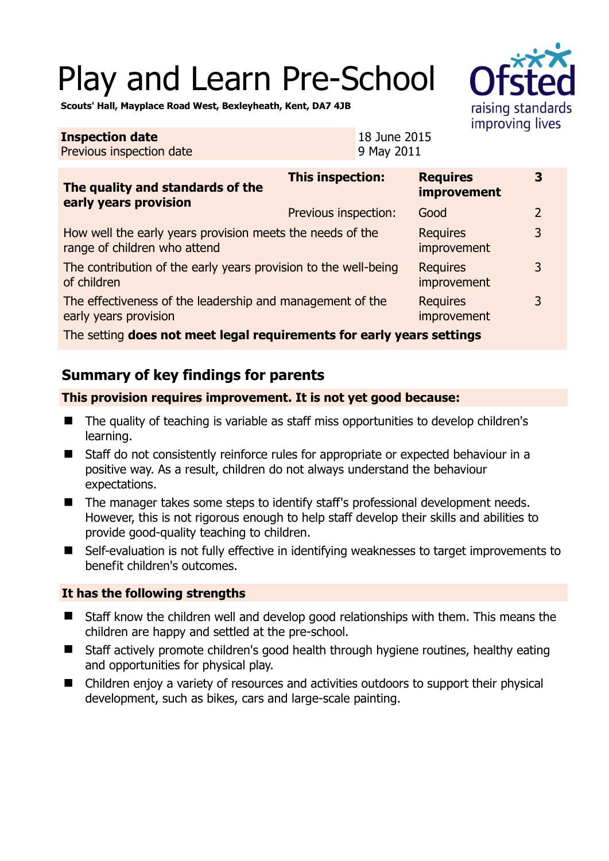# Play and Learn Pre-School



**3** 

**Scouts' Hall, Mayplace Road West, Bexleyheath, Kent, DA7 4JB** 

#### **Inspection date** Previous inspection date 18 June 2015 9 May 2011 **This inspection: Requires**

| The quality and standards of the<br>early years provision                                 |                      | improvement                    |   |
|-------------------------------------------------------------------------------------------|----------------------|--------------------------------|---|
|                                                                                           | Previous inspection: | Good                           | 2 |
| How well the early years provision meets the needs of the<br>range of children who attend |                      | <b>Requires</b><br>improvement | 3 |
| The contribution of the early years provision to the well-being<br>of children            |                      | <b>Requires</b><br>improvement | 3 |
| The effectiveness of the leadership and management of the<br>early years provision        |                      | <b>Requires</b><br>improvement | 3 |
|                                                                                           |                      |                                |   |

The setting **does not meet legal requirements for early years settings**

## **Summary of key findings for parents**

### **This provision requires improvement. It is not yet good because:**

- The quality of teaching is variable as staff miss opportunities to develop children's learning.
- Staff do not consistently reinforce rules for appropriate or expected behaviour in a positive way. As a result, children do not always understand the behaviour expectations.
- The manager takes some steps to identify staff's professional development needs. However, this is not rigorous enough to help staff develop their skills and abilities to provide good-quality teaching to children.
- Self-evaluation is not fully effective in identifying weaknesses to target improvements to benefit children's outcomes.

## **It has the following strengths**

- Staff know the children well and develop good relationships with them. This means the children are happy and settled at the pre-school.
- Staff actively promote children's good health through hygiene routines, healthy eating and opportunities for physical play.
- Children enjoy a variety of resources and activities outdoors to support their physical development, such as bikes, cars and large-scale painting.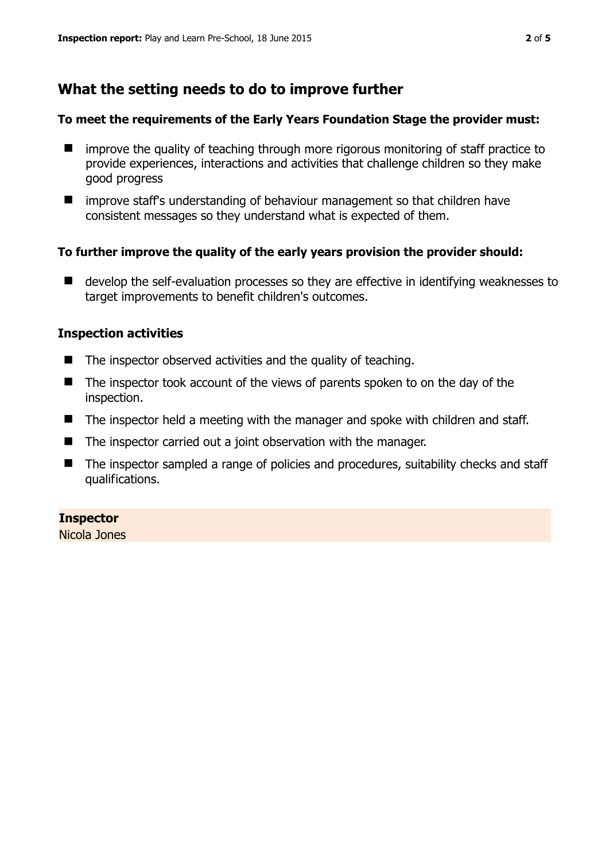## **What the setting needs to do to improve further**

#### **To meet the requirements of the Early Years Foundation Stage the provider must:**

- improve the quality of teaching through more rigorous monitoring of staff practice to provide experiences, interactions and activities that challenge children so they make good progress
- $\blacksquare$  improve staff's understanding of behaviour management so that children have consistent messages so they understand what is expected of them.

#### **To further improve the quality of the early years provision the provider should:**

■ develop the self-evaluation processes so they are effective in identifying weaknesses to target improvements to benefit children's outcomes.

#### **Inspection activities**

- $\blacksquare$  The inspector observed activities and the quality of teaching.
- The inspector took account of the views of parents spoken to on the day of the inspection.
- $\blacksquare$  The inspector held a meeting with the manager and spoke with children and staff.
- The inspector carried out a joint observation with the manager.
- The inspector sampled a range of policies and procedures, suitability checks and staff qualifications.

#### **Inspector**

Nicola Jones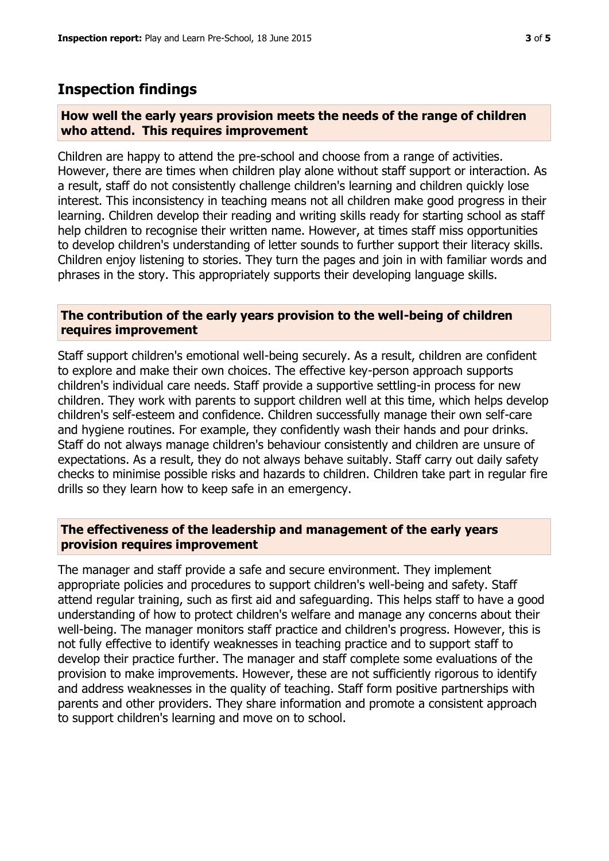## **Inspection findings**

#### **How well the early years provision meets the needs of the range of children who attend. This requires improvement**

Children are happy to attend the pre-school and choose from a range of activities. However, there are times when children play alone without staff support or interaction. As a result, staff do not consistently challenge children's learning and children quickly lose interest. This inconsistency in teaching means not all children make good progress in their learning. Children develop their reading and writing skills ready for starting school as staff help children to recognise their written name. However, at times staff miss opportunities to develop children's understanding of letter sounds to further support their literacy skills. Children enjoy listening to stories. They turn the pages and join in with familiar words and phrases in the story. This appropriately supports their developing language skills.

#### **The contribution of the early years provision to the well-being of children requires improvement**

Staff support children's emotional well-being securely. As a result, children are confident to explore and make their own choices. The effective key-person approach supports children's individual care needs. Staff provide a supportive settling-in process for new children. They work with parents to support children well at this time, which helps develop children's self-esteem and confidence. Children successfully manage their own self-care and hygiene routines. For example, they confidently wash their hands and pour drinks. Staff do not always manage children's behaviour consistently and children are unsure of expectations. As a result, they do not always behave suitably. Staff carry out daily safety checks to minimise possible risks and hazards to children. Children take part in regular fire drills so they learn how to keep safe in an emergency.

#### **The effectiveness of the leadership and management of the early years provision requires improvement**

The manager and staff provide a safe and secure environment. They implement appropriate policies and procedures to support children's well-being and safety. Staff attend regular training, such as first aid and safeguarding. This helps staff to have a good understanding of how to protect children's welfare and manage any concerns about their well-being. The manager monitors staff practice and children's progress. However, this is not fully effective to identify weaknesses in teaching practice and to support staff to develop their practice further. The manager and staff complete some evaluations of the provision to make improvements. However, these are not sufficiently rigorous to identify and address weaknesses in the quality of teaching. Staff form positive partnerships with parents and other providers. They share information and promote a consistent approach to support children's learning and move on to school.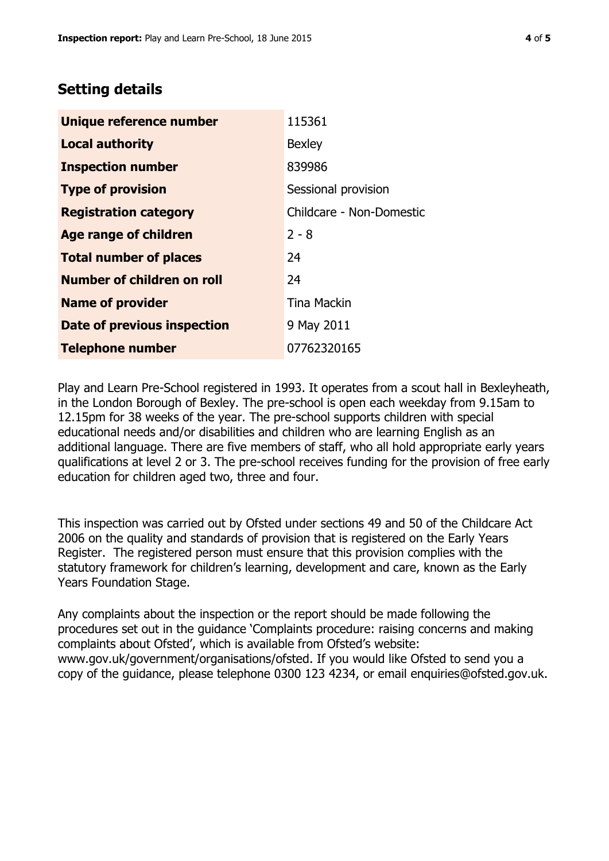## **Setting details**

| Unique reference number       | 115361                   |  |
|-------------------------------|--------------------------|--|
| <b>Local authority</b>        | <b>Bexley</b>            |  |
| <b>Inspection number</b>      | 839986                   |  |
| <b>Type of provision</b>      | Sessional provision      |  |
| <b>Registration category</b>  | Childcare - Non-Domestic |  |
| Age range of children         | $2 - 8$                  |  |
| <b>Total number of places</b> | 24                       |  |
| Number of children on roll    | 24                       |  |
| <b>Name of provider</b>       | <b>Tina Mackin</b>       |  |
| Date of previous inspection   | 9 May 2011               |  |
| <b>Telephone number</b>       | 07762320165              |  |

Play and Learn Pre-School registered in 1993. It operates from a scout hall in Bexleyheath, in the London Borough of Bexley. The pre-school is open each weekday from 9.15am to 12.15pm for 38 weeks of the year. The pre-school supports children with special educational needs and/or disabilities and children who are learning English as an additional language. There are five members of staff, who all hold appropriate early years qualifications at level 2 or 3. The pre-school receives funding for the provision of free early education for children aged two, three and four.

This inspection was carried out by Ofsted under sections 49 and 50 of the Childcare Act 2006 on the quality and standards of provision that is registered on the Early Years Register. The registered person must ensure that this provision complies with the statutory framework for children's learning, development and care, known as the Early Years Foundation Stage.

Any complaints about the inspection or the report should be made following the procedures set out in the guidance 'Complaints procedure: raising concerns and making complaints about Ofsted', which is available from Ofsted's website: www.gov.uk/government/organisations/ofsted. If you would like Ofsted to send you a copy of the guidance, please telephone 0300 123 4234, or email enquiries@ofsted.gov.uk.